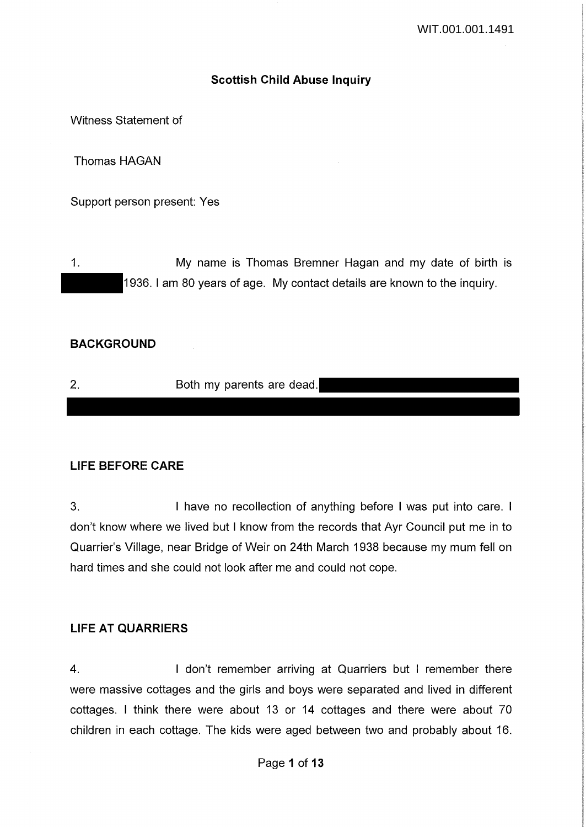## **Scottish Child Abuse Inquiry**

Witness Statement of

Thomas HAGAN

Support person present: Yes

1. My name is Thomas Bremner Hagan and my date of birth is 1936. I am 80 years of age. My contact details are known to the inquiry.

### **BACKGROUND**

2. Both my parents are dead.

### **LIFE BEFORE CARE**

3. I have no recollection of anything before I was put into care. I don't know where we lived but I know from the records that Ayr Council put me in to Quarrier's Village, near Bridge of Weir on 24th March 1938 because my mum fell on hard times and she could not look after me and could not cope.

### **LIFE AT QUARRIERS**

4. I don't remember arriving at Quarriers but I remember there were massive cottages and the girls and boys were separated and lived in different cottages. I think there were about 13 or 14 cottages and there were about 70 children in each cottage. The kids were aged between two and probably about 16.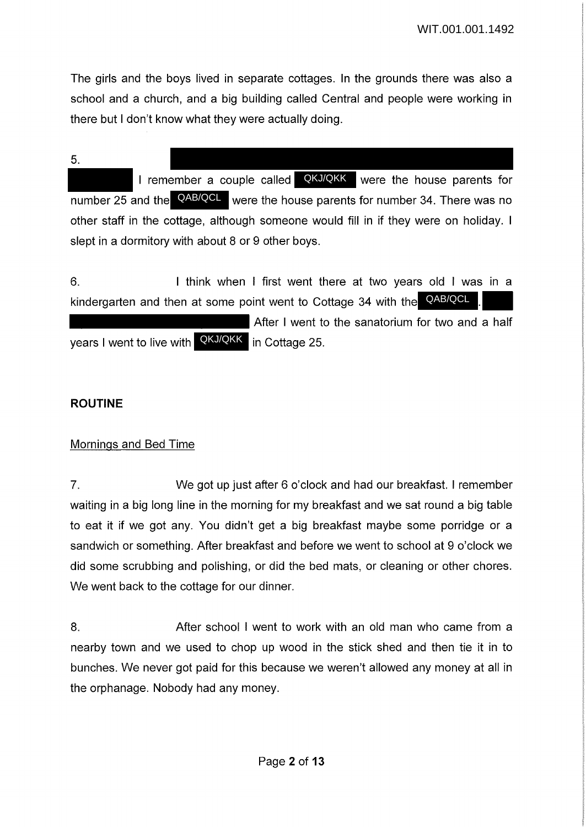The girls and the boys lived in separate cottages. In the grounds there was also a school and a church, and a big building called Central and people were working in there but I don't know what they were actually doing.

5.

I remember a couple called **QKJ/QKK** were the house parents for number 25 and the **QAB/QCL** were the house parents for number 34. There was no other staff in the cottage, although someone would fill in if they were on holiday. I slept in a dormitory with about 8 or 9 other boys.

6. I think when I first went there at two years old I was in a kindergarten and then at some point went to Cottage 34 with the QAB/QCL After I went to the sanatorium for two and a half years I went to live with QKJ/QKK in Cottage 25.

# **ROUTINE**

# Mornings and Bed Time

7. We got up just after 6 o'clock and had our breakfast. I remember waiting in a big long line in the morning for my breakfast and we sat round a big table to eat it if we got any. You didn't get a big breakfast maybe some porridge or a sandwich or something. After breakfast and before we went to school at 9 o'clock we did some scrubbing and polishing, or did the bed mats, or cleaning or other chores. We went back to the cottage for our dinner.

8. After school I went to work with an old man who came from a nearby town and we used to chop up wood in the stick shed and then tie it in to bunches. We never got paid for this because we weren't allowed any money at all in the orphanage. Nobody had any money.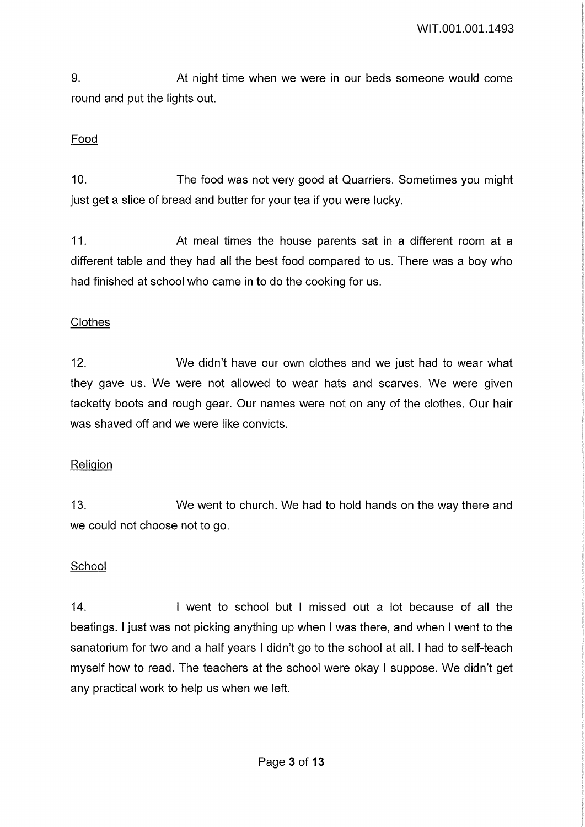9. At night time when we were in our beds someone would come round and put the lights out.

## Food

10. The food was not very good at Quarriers. Sometimes you might just get a slice of bread and butter for your tea if you were lucky.

11. At meal times the house parents sat in a different room at a different table and they had all the best food compared to us. There was a boy who had finished at school who came in to do the cooking for us.

## **Clothes**

12. We didn't have our own clothes and we just had to wear what they gave us. We were not allowed to wear hats and scarves. We were given tacketty boots and rough gear. Our names were not on any of the clothes. Our hair was shaved off and we were like convicts.

### **Religion**

13. We went to church. We had to hold hands on the way there and we could not choose not to go.

### School

14. I went to school but I missed out a lot because of all the beatings. I just was not picking anything up when I was there, and when I went to the sanatorium for two and a half years I didn't go to the school at all. I had to self-teach myself how to read. The teachers at the school were okay I suppose. We didn't get any practical work to help us when we left.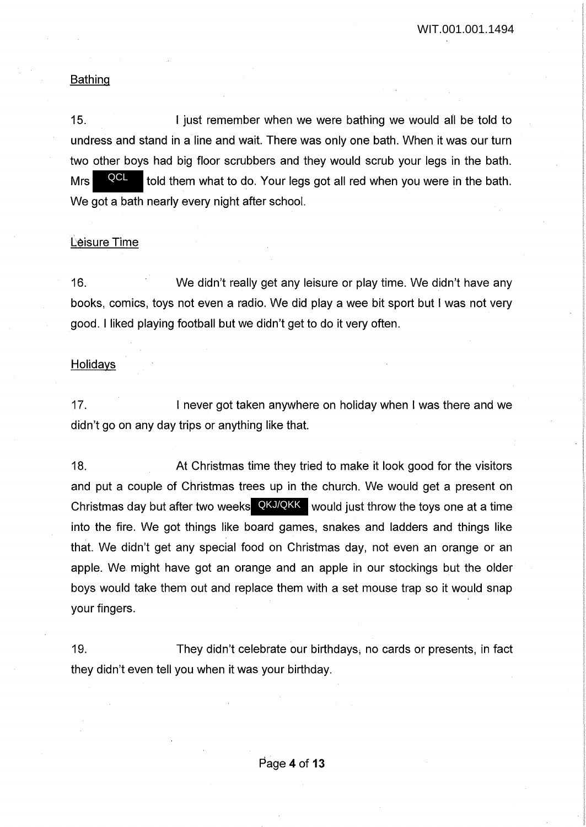#### Bathing

15. **I** just remember when we were bathing we would all be told to undress and stand in a line and wait. There was only one bath. When it was our turn two other boys had big floor scrubbers and they would scrub your legs in the bath. Mrs  $\frac{QQ}{V}$  told them what to do. Your legs got all red when you were in the bath. We got a bath nearly every night after school. QCL

#### Leisure Time

16. We didn't really get any leisure or play time. We didn't have any books, comics, toys not even a radio. We did play a wee bit sport but I was not very good. I liked playing football but we didn't get to do it very often.

#### **Holidays**

17. I never got taken anywhere on holiday when I was there and we didn't go on any day trips or anything like that.

18. At Christmas time they tried to make it look good for the visitors and put a couple of Christmas trees up in the church. We would get a present on Christmas day but after two weeks  $QKJ/QKK$  would just throw the toys one at a time into the fire. We got things like board games, snakes and ladders and things like that. We didn't get any special food on Christmas day, not even an orange or an apple. We might have got an orange and an apple in our stockings but the older boys would take them out and replace them with a set mouse trap so it would snap your fingers.

19. They didn't celebrate our birthdays; no cards or presents, in fact they didn't even tell you when it was your birthday.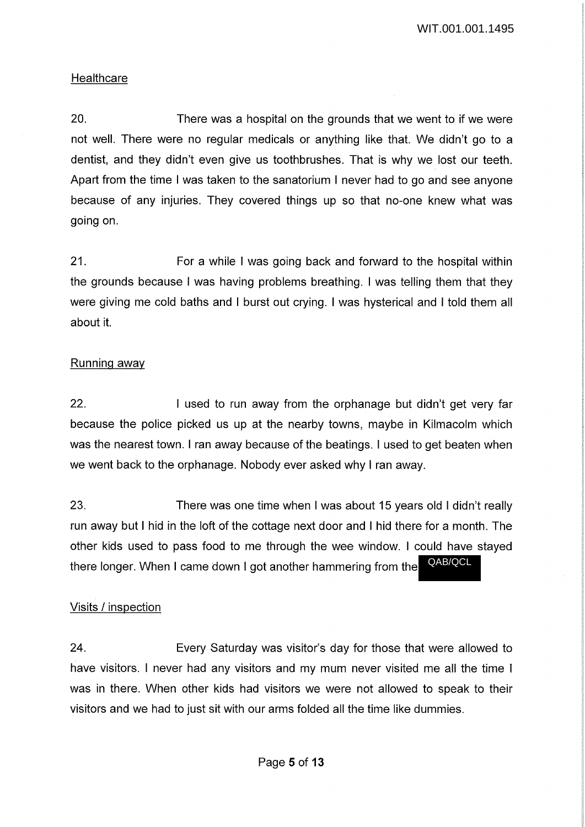## **Healthcare**

20. There was a hospital on the grounds that we went to if we were not well. There were no regular medicals or anything like that. We didn't go to a dentist, and they didn't even give us toothbrushes. That is why we lost our teeth. Apart from the time I was taken to the sanatorium I never had to go and see anyone because of any injuries. They covered things up so that no-one knew what was going on.

21. For a while I was going back and forward to the hospital within the grounds because I was having problems breathing. I was telling them that they were giving me cold baths and I burst out crying. I was hysterical and I told them all about it.

## Running away

22. I used to run away from the orphanage but didn't get very far because the police picked us up at the nearby towns, maybe in Kilmacolm which was the nearest town. I ran away because of the beatings. I used to get beaten when we went back to the orphanage. Nobody ever asked why I ran away.

23. There was one time when I was about 15 years old I didn't really run away but I hid in the loft of the cottage next door and I hid there for a month. The other kids used to pass food to me through the wee window. I could have stayed there longer. When I came down I got another hammering from the QAB/QCL

## Visits / inspection

24. Every Saturday was visitor's day for those that were allowed to have visitors. I never had any visitors and my mum never visited me all the time I was in there. When other kids had visitors we were not allowed to speak to their visitors and we had to just sit with our arms folded all the time like dummies.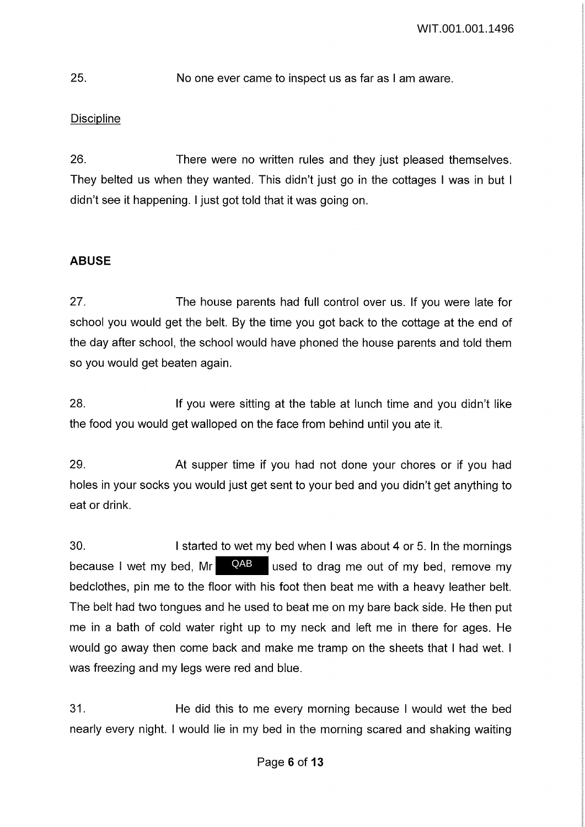# 25. No one ever came to inspect us as far as I am aware.

# **Discipline**

26. There were no written rules and they just pleased themselves. They belted us when they wanted. This didn't just go in the cottages I was in but I didn't see it happening. I just got told that it was going on.

# **ABUSE**

27. The house parents had full control over us. If you were late for school you would get the belt. By the time you got back to the cottage at the end of the day after school, the school would have phoned the house parents and told them so you would get beaten again.

28. If you were sitting at the table at lunch time and you didn't like the food you would get walloped on the face from behind until you ate it.

29. At supper time if you had not done your chores or if you had holes in your socks you would just get sent to your bed and you didn't get anything to eat or drink.

30. I started to wet my bed when I was about 4 or 5. In the mornings used to drag me out of my bed, remove my bedclothes, pin me to the floor with his foot then beat me with a heavy leather belt. The belt had two tongues and he used to beat me on my bare back side. He then put me in a bath of cold water right up to my neck and left me in there for ages. He would go away then come back and make me tramp on the sheets that I had wet. I was freezing and my legs were red and blue. because I wet my bed, Mr QAB

31. He did this to me every morning because I would wet the bed nearly every night. I would lie in my bed in the morning scared and shaking waiting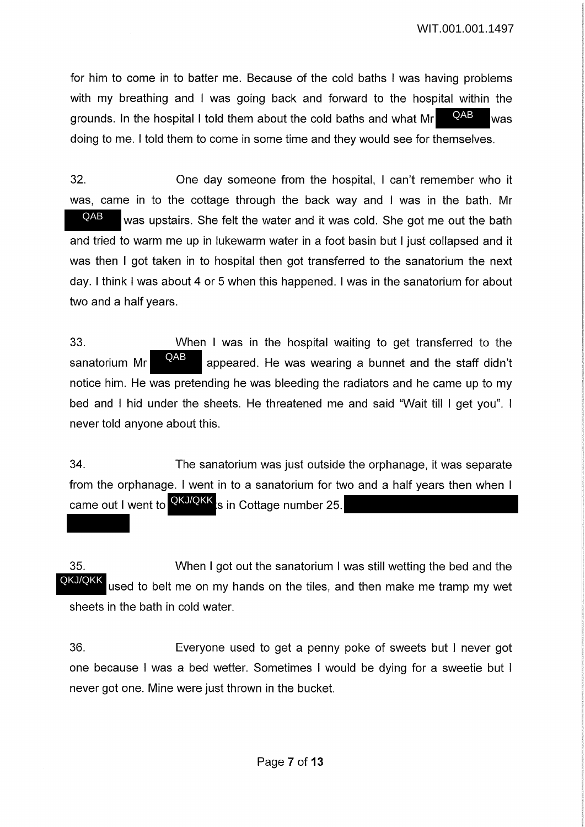for him to come in to batter me. Because of the cold baths I was having problems with my breathing and I was going back and forward to the hospital within the grounds. In the hospital I told them about the cold baths and what  $Mr = QAB$  was doing to me. I told them to come in some time and they would see for themselves. QAB

32. One day someone from the hospital, I can't remember who it was, came in to the cottage through the back way and I was in the bath. Mr was upstairs. She felt the water and it was cold. She got me out the bath and tried to warm me up in lukewarm water in a foot basin but I just collapsed and it was then I got taken in to hospital then got transferred to the sanatorium the next day. I think I was about 4 or 5 when this happened. I was in the sanatorium for about two and a half years. QAB

33. When I was in the hospital waiting to get transferred to the sanatorium Mr **EXAB** appeared. He was wearing a bunnet and the staff didn't notice him. He was pretending he was bleeding the radiators and he came up to my bed and I hid under the sheets. He threatened me and said "Wait till I get you". I never told anyone about this. QAB

34. The sanatorium was just outside the orphanage, it was separate from the orphanage. I went in to a sanatorium for two and a half years then when I came out I went to **QKJ/QKK** is in Cottage number 25.

35. When I got out the sanatorium I was still wetting the bed and the used to belt me on my hands on the tiles, and then make me tramp my wet sheets in the bath in cold water. QKJ/QKK

36. Everyone used to get a penny poke of sweets but I never got one because I was a bed wetter. Sometimes I would be dying for a sweetie but I never got one. Mine were just thrown in the bucket.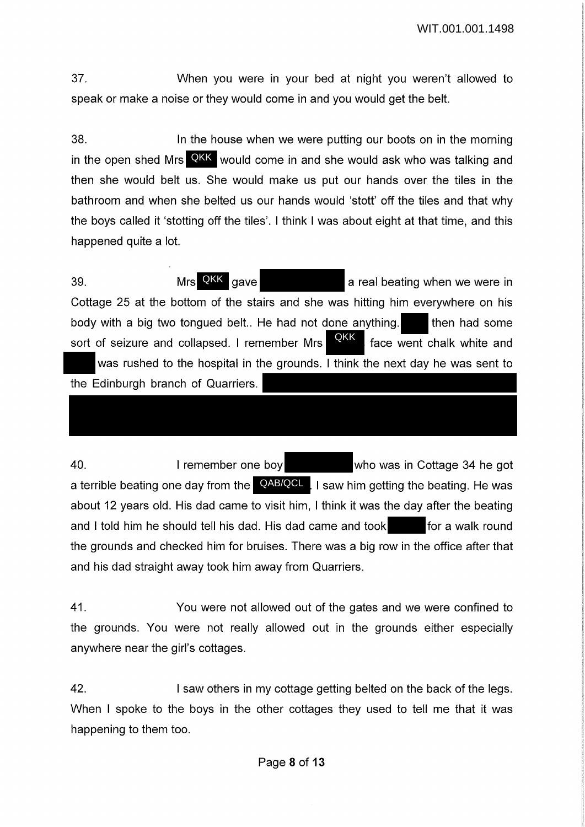37. When you were in your bed at night you weren't allowed to speak or make a noise or they would come in and you would get the belt.

38. In the house when we were putting our boots on in the morning in the open shed Mrs QKK would come in and she would ask who was talking and then she would belt us. She would make us put our hands over the tiles in the bathroom and when she belted us our hands would 'stott' off the tiles and that why the boys called it 'stetting off the tiles'. I think I was about eight at that time, and this happened quite a lot.

39. Mrs AKK gave a real beating when we were in Cottage 25 at the bottom of the stairs and she was hitting him everywhere on his body with a big two tongued belt.. He had not done anything. Then had some sort of seizure and collapsed. I remember Mrs **QKK**, face went chalk white and was rushed to the hospital in the grounds. I think the next day he was sent to the Edinburgh branch of Quarriers. Mrs QKK gave

40. I remember one boy who was in Cottage 34 he got a terrible beating one day from the **QAB/QCL**. I saw him getting the beating. He was about 12 years old. His dad came to visit him, I think it was the day after the beating and I told him he should tell his dad. His dad came and took for a walk round the grounds and checked him for bruises. There was a big row in the office after that and his dad straight away took him away from Quarriers.

41. You were not allowed out of the gates and we were confined to the grounds. You were not really allowed out in the grounds either especially anywhere near the girl's cottages.

42. I saw others in my cottage getting belted on the back of the legs. When I spoke to the boys in the other cottages they used to tell me that it was happening to them too.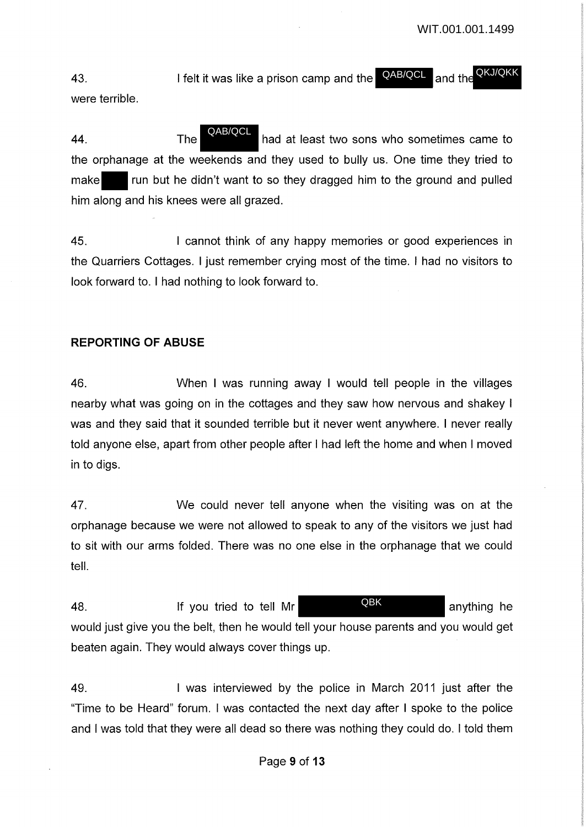43. I felt it was like a prison camp and the **AB/QCL** and the were terrible. QKJ/QKK QAB/QCL

44. The **HAPACE had at least two sons who sometimes came to** the orphanage at the weekends and they used to bully us. One time they tried to make **run but he didn't want to so they dragged him to the ground and pulled** him along and his knees were all grazed. QAB/QCL

45. I cannot think of any happy memories or good experiences in the Quarriers Cottages. I just remember crying most of the time. I had no visitors to look forward to. I had nothing to look forward to.

## **REPORTING OF ABUSE**

46. When I was running away I would tell people in the villages nearby what was going on in the cottages and they saw how nervous and shakey I was and they said that it sounded terrible but it never went anywhere. I never really told anyone else, apart from other people after I had left the home and when I moved in to digs.

47. We could never tell anyone when the visiting was on at the orphanage because we were not allowed to speak to any of the visitors we just had to sit with our arms folded. There was no one else in the orphanage that we could tell.

48. If you tried to tell Mr **QBK** anything he would just give you the belt, then he would tell your house parents and you would get beaten again. They would always cover things up. QBK

49. I was interviewed by the police in March 2011 just after the "Time to be Heard" forum. I was contacted the next day after I spoke to the police and I was told that they were all dead so there was nothing they could do. I told them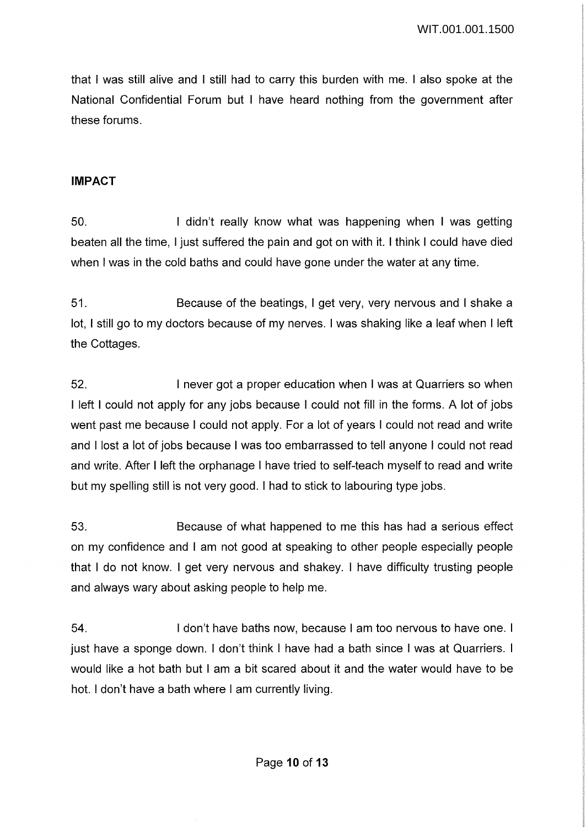that I was still alive and I still had to carry this burden with me. I also spoke at the National Confidential Forum but I have heard nothing from the government after these forums.

### **IMPACT**

50. I didn't really know what was happening when I was getting beaten all the time, I just suffered the pain and got on with it. I think I could have died when I was in the cold baths and could have gone under the water at any time.

51. Because of the beatings, I get very, very nervous and I shake a lot, I still go to my doctors because of my nerves. I was shaking like a leaf when I left the Cottages.

52. I never got a proper education when I was at Quarriers so when I left I could not apply for any jobs because I could not fill in the forms. A lot of jobs went past me because I could not apply. For a lot of years I could not read and write and I lost a lot of jobs because I was too embarrassed to tell anyone I could not read and write. After I left the orphanage I have tried to self-teach myself to read and write but my spelling still is not very good. I had to stick to labouring type jobs.

53. Because of what happened to me this has had a serious effect on my confidence and I am not good at speaking to other people especially people that I do not know. I get very nervous and shakey. I have difficulty trusting people and always wary about asking people to help me.

54. I don't have baths now, because I am too nervous to have one. I just have a sponge down. I don't think I have had a bath since I was at Quarriers. I would like a hot bath but I am a bit scared about it and the water would have to be hot. I don't have a bath where I am currently living.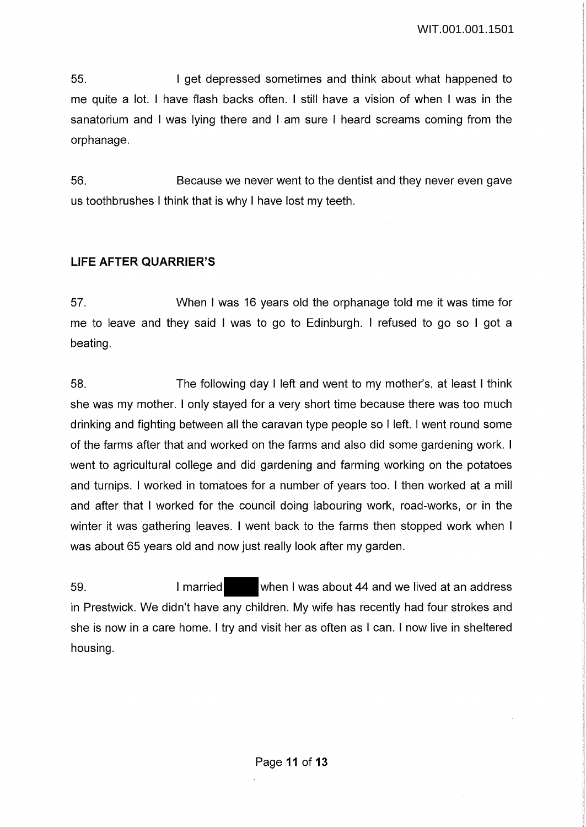55. I get depressed sometimes and think about what happened to me quite a lot. I have flash backs often. I still have a vision of when I was in the sanatorium and I was lying there and I am sure I heard screams coming from the orphanage.

56. Because we never went to the dentist and they never even gave us toothbrushes I think that is why I have lost my teeth.

## **LIFE AFTER QUARRIER'S**

57. When I was 16 years old the orphanage told me it was time for me to leave and they said I was to go to Edinburgh. I refused to go so I got a beating.

58. The following day I left and went to my mother's, at least I think she was my mother. I only stayed for a very short time because there was too much drinking and fighting between all the caravan type people so I left. I went round some of the farms after that and worked on the farms and also did some gardening work. I went to agricultural college and did gardening and farming working on the potatoes and turnips. I worked in tomatoes for a number of years too. I then worked at a mill and after that I worked for the council doing labouring work, road-works, or in the winter it was gathering leaves. I went back to the farms then stopped work when I was about 65 years old and now just really look after my garden.

59. I married when I was about 44 and we lived at an address in Prestwick. We didn't have any children. My wife has recently had four strokes and she is now in a care home. I try and visit her as often as I can. I now live in sheltered housing.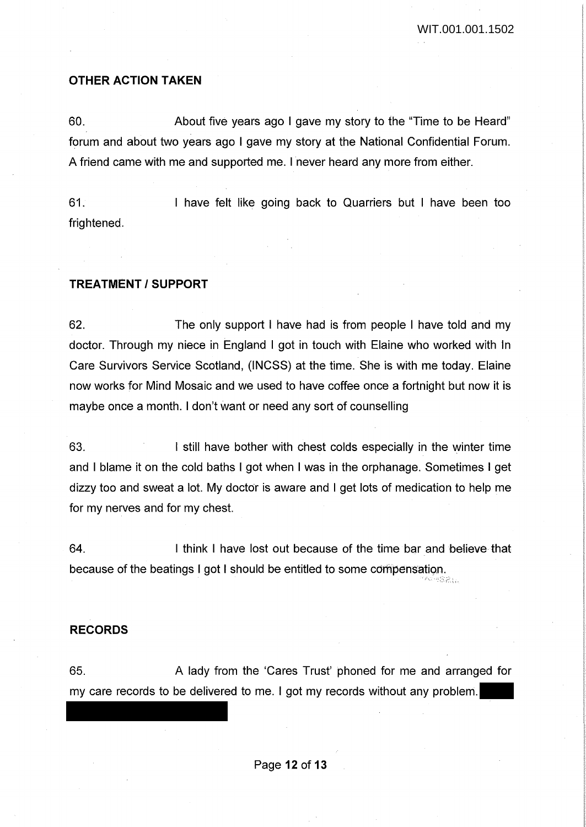#### **OTHER ACTION TAKEN**

60. About five years ago I gave my story to the "Time to be Heard" forum and about two years ago I gave my story at the National Confidential Forum. A friend came with me and supported me. I never heard any more from either.

61. frightened. I have felt like going back to Quarriers but I have been too

### **TREATMENT/SUPPORT**

62. The only support I have had is from people I have told and my doctor. Through my niece in England I got in touch with Elaine who worked with In Care Survivors Service Scotland, (INCSS) at the time. She is with me today. Elaine now works for Mind Mosaic and we used to have coffee once a fortnight but now it is maybe once a month. I don't want or need any sort of counselling

63. I still have bother with chest colds especially in the winter time and I blame it on the cold baths I got when I was in the orphanage. Sometimes I get dizzy too and sweat a lot. My doctor is aware and I get lots of medication to help me for my nerves and for my chest.

64. I think I have lost out because of the time bar and believe that because of the beatings I got I should be entitled to some compensation. *'f>...'* ...

#### **RECORDS**

65. A lady from the 'Cares Trust' phoned for me and arranged for my care records to be delivered to me. I got my records without any problem.